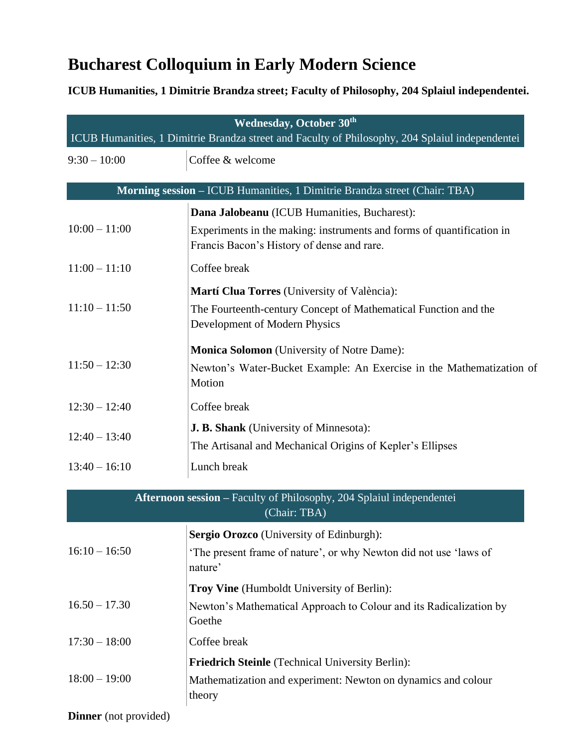## **Bucharest Colloquium in Early Modern Science**

**ICUB Humanities, 1 Dimitrie Brandza street; Faculty of Philosophy, 204 Splaiul independentei.**

| <b>Wednesday, October 30th</b><br>ICUB Humanities, 1 Dimitrie Brandza street and Faculty of Philosophy, 204 Splaiul independentei |                                                                                                                     |  |
|-----------------------------------------------------------------------------------------------------------------------------------|---------------------------------------------------------------------------------------------------------------------|--|
| $9:30 - 10:00$                                                                                                                    | Coffee & welcome                                                                                                    |  |
|                                                                                                                                   | Morning session - ICUB Humanities, 1 Dimitrie Brandza street (Chair: TBA)                                           |  |
|                                                                                                                                   | Dana Jalobeanu (ICUB Humanities, Bucharest):                                                                        |  |
| $10:00 - 11:00$                                                                                                                   | Experiments in the making: instruments and forms of quantification in<br>Francis Bacon's History of dense and rare. |  |
| $11:00 - 11:10$                                                                                                                   | Coffee break                                                                                                        |  |
| $11:10 - 11:50$                                                                                                                   | Martí Clua Torres (University of València):                                                                         |  |
|                                                                                                                                   | The Fourteenth-century Concept of Mathematical Function and the<br>Development of Modern Physics                    |  |
| $11:50 - 12:30$                                                                                                                   | <b>Monica Solomon</b> (University of Notre Dame):                                                                   |  |
|                                                                                                                                   | Newton's Water-Bucket Example: An Exercise in the Mathematization of<br>Motion                                      |  |
| $12:30 - 12:40$                                                                                                                   | Coffee break                                                                                                        |  |
| $12:40 - 13:40$                                                                                                                   | <b>J. B. Shank</b> (University of Minnesota):                                                                       |  |
|                                                                                                                                   | The Artisanal and Mechanical Origins of Kepler's Ellipses                                                           |  |
| $13:40 - 16:10$                                                                                                                   | Lunch break                                                                                                         |  |
|                                                                                                                                   | Afternoon session – Faculty of Philosophy, 204 Splaiul independentei<br>(Chair: TBA)                                |  |
| $16:10 - 16:50$                                                                                                                   | Sergio Orozco (University of Edinburgh):                                                                            |  |
|                                                                                                                                   | 'The present frame of nature', or why Newton did not use 'laws of<br>nature'                                        |  |
|                                                                                                                                   | Troy Vine (Humboldt University of Berlin):                                                                          |  |
| $16.50 - 17.30$                                                                                                                   | Newton's Mathematical Approach to Colour and its Radicalization by<br>Goethe                                        |  |

 $17:30 - 18:00$  Coffee break

**Friedrich Steinle** (Technical University Berlin):

18:00 – 19:00 Mathematization and experiment: Newton on dynamics and colour theory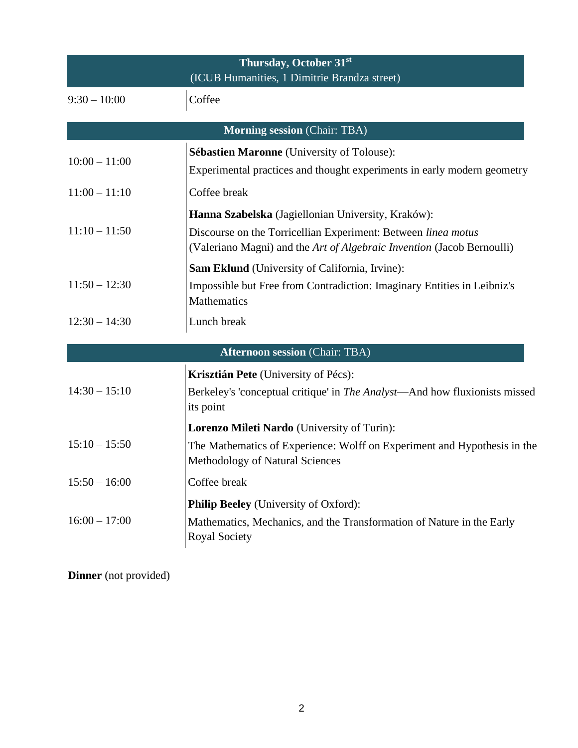| Thursday, October 31st<br>(ICUB Humanities, 1 Dimitrie Brandza street) |                                                                                                                                                                                               |  |
|------------------------------------------------------------------------|-----------------------------------------------------------------------------------------------------------------------------------------------------------------------------------------------|--|
| $9:30 - 10:00$                                                         | Coffee                                                                                                                                                                                        |  |
|                                                                        | <b>Morning session (Chair: TBA)</b>                                                                                                                                                           |  |
| $10:00 - 11:00$                                                        | <b>Sébastien Maronne</b> (University of Tolouse):<br>Experimental practices and thought experiments in early modern geometry                                                                  |  |
| $11:00 - 11:10$                                                        | Coffee break                                                                                                                                                                                  |  |
| $11:10 - 11:50$                                                        | Hanna Szabelska (Jagiellonian University, Kraków):<br>Discourse on the Torricellian Experiment: Between linea motus<br>(Valeriano Magni) and the Art of Algebraic Invention (Jacob Bernoulli) |  |
| $11:50 - 12:30$                                                        | Sam Eklund (University of California, Irvine):<br>Impossible but Free from Contradiction: Imaginary Entities in Leibniz's<br>Mathematics                                                      |  |
| $12:30 - 14:30$                                                        | Lunch break                                                                                                                                                                                   |  |
|                                                                        | <b>Afternoon session (Chair: TBA)</b>                                                                                                                                                         |  |
|                                                                        | Krisztián Pete (University of Pécs):                                                                                                                                                          |  |
| $14:30 - 15:10$                                                        | Berkeley's 'conceptual critique' in The Analyst—And how fluxionists missed<br>its point                                                                                                       |  |
|                                                                        | Lorenzo Mileti Nardo (University of Turin):                                                                                                                                                   |  |
| $15:10 - 15:50$                                                        | The Mathematics of Experience: Wolff on Experiment and Hypothesis in the<br>Methodology of Natural Sciences                                                                                   |  |
| $15:50 - 16:00$                                                        | Coffee break                                                                                                                                                                                  |  |
| $16:00 - 17:00$                                                        | <b>Philip Beeley</b> (University of Oxford):<br>Mathematics, Mechanics, and the Transformation of Nature in the Early<br><b>Royal Society</b>                                                 |  |

**Dinner** (not provided)